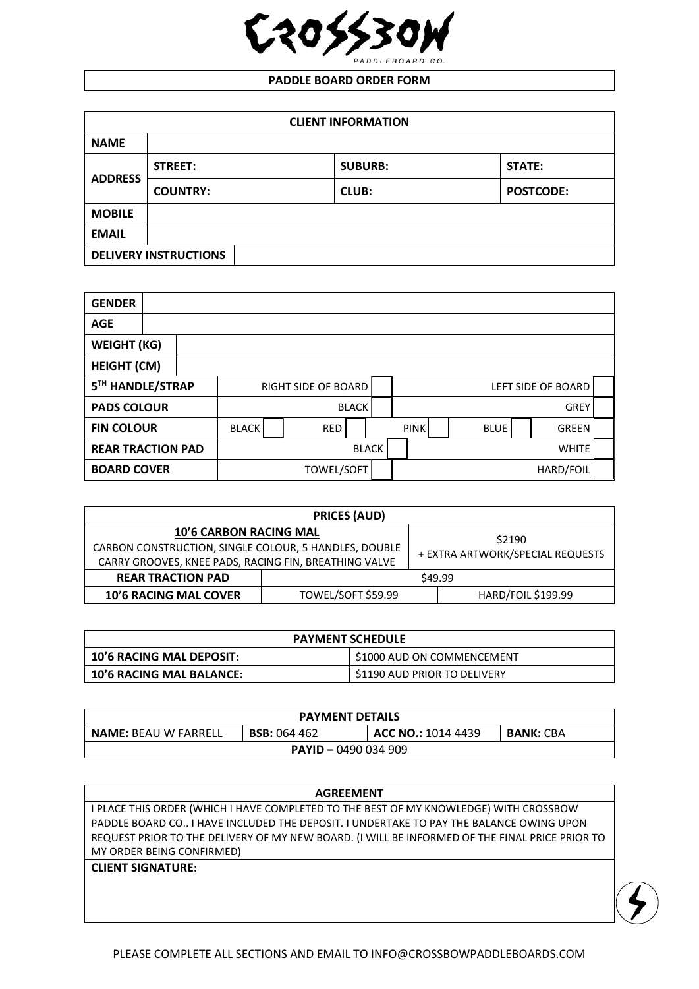

## **PADDLE BOARD ORDER FORM**

| <b>CLIENT INFORMATION</b> |                              |                |                  |  |  |  |
|---------------------------|------------------------------|----------------|------------------|--|--|--|
| <b>NAME</b>               |                              |                |                  |  |  |  |
| <b>ADDRESS</b>            | STREET:                      | <b>SUBURB:</b> | <b>STATE:</b>    |  |  |  |
|                           | <b>COUNTRY:</b>              | <b>CLUB:</b>   | <b>POSTCODE:</b> |  |  |  |
| <b>MOBILE</b>             |                              |                |                  |  |  |  |
| <b>EMAIL</b>              |                              |                |                  |  |  |  |
|                           | <b>DELIVERY INSTRUCTIONS</b> |                |                  |  |  |  |

| <b>GENDER</b>            |                            |              |  |            |                    |              |             |  |             |  |       |  |
|--------------------------|----------------------------|--------------|--|------------|--------------------|--------------|-------------|--|-------------|--|-------|--|
| <b>AGE</b>               |                            |              |  |            |                    |              |             |  |             |  |       |  |
| <b>WEIGHT (KG)</b>       |                            |              |  |            |                    |              |             |  |             |  |       |  |
| <b>HEIGHT (CM)</b>       |                            |              |  |            |                    |              |             |  |             |  |       |  |
| 5TH HANDLE/STRAP         | <b>RIGHT SIDE OF BOARD</b> |              |  |            | LEFT SIDE OF BOARD |              |             |  |             |  |       |  |
| <b>PADS COLOUR</b>       |                            |              |  |            | <b>BLACK</b>       |              |             |  | <b>GREY</b> |  |       |  |
| <b>FIN COLOUR</b>        |                            | <b>BLACK</b> |  | <b>RED</b> |                    |              | <b>PINK</b> |  | <b>BLUE</b> |  | GREEN |  |
| <b>REAR TRACTION PAD</b> |                            | BLACK        |  |            |                    | <b>WHITE</b> |             |  |             |  |       |  |
| <b>BOARD COVER</b>       |                            | TOWEL/SOFT   |  |            |                    | HARD/FOIL    |             |  |             |  |       |  |

| <b>PRICES (AUD)</b>                                                                                                                             |                    |                                            |                           |  |  |
|-------------------------------------------------------------------------------------------------------------------------------------------------|--------------------|--------------------------------------------|---------------------------|--|--|
| <b>10'6 CARBON RACING MAL</b><br>CARBON CONSTRUCTION, SINGLE COLOUR, 5 HANDLES, DOUBLE<br>CARRY GROOVES, KNEE PADS, RACING FIN, BREATHING VALVE |                    | \$2190<br>+ EXTRA ARTWORK/SPECIAL REQUESTS |                           |  |  |
| <b>REAR TRACTION PAD</b>                                                                                                                        |                    |                                            | \$49.99                   |  |  |
| <b>10'6 RACING MAL COVER</b>                                                                                                                    | TOWEL/SOFT \$59.99 |                                            | <b>HARD/FOIL \$199.99</b> |  |  |

| <b>PAYMENT SCHEDULE</b>         |                              |  |  |  |  |
|---------------------------------|------------------------------|--|--|--|--|
| <b>10'6 RACING MAL DEPOSIT:</b> | \$1000 AUD ON COMMENCEMENT   |  |  |  |  |
| <b>10'6 RACING MAL BALANCE:</b> | \$1190 AUD PRIOR TO DELIVERY |  |  |  |  |

| <b>PAYMENT DETAILS</b>                                                                              |  |  |  |  |  |  |
|-----------------------------------------------------------------------------------------------------|--|--|--|--|--|--|
| <b>NAME: BEAU W FARRELL</b><br><b>BSB: 064 462</b><br><b>ACC NO.: 1014 4439</b><br><b>BANK: CBA</b> |  |  |  |  |  |  |
| <b>PAYID - 0490 034 909</b>                                                                         |  |  |  |  |  |  |

| <b>AGREEMENT</b>                                                                               |
|------------------------------------------------------------------------------------------------|
| I PLACE THIS ORDER (WHICH I HAVE COMPLETED TO THE BEST OF MY KNOWLEDGE) WITH CROSSBOW          |
| PADDLE BOARD CO I HAVE INCLUDED THE DEPOSIT. I UNDERTAKE TO PAY THE BALANCE OWING UPON         |
| REQUEST PRIOR TO THE DELIVERY OF MY NEW BOARD. (I WILL BE INFORMED OF THE FINAL PRICE PRIOR TO |
| MY ORDER BEING CONFIRMED)                                                                      |
| <b>CLIENT SIGNATURE:</b>                                                                       |
|                                                                                                |
|                                                                                                |